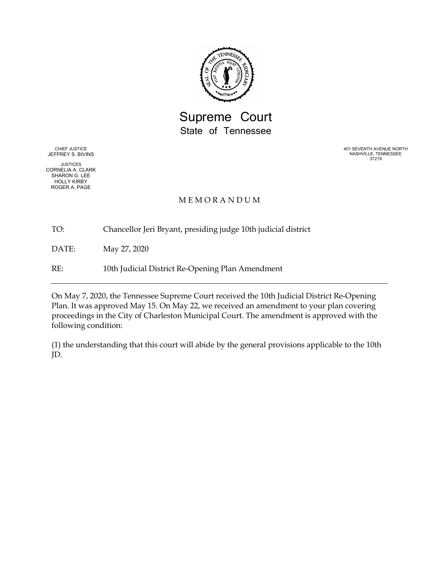

## Supreme Court State of Tennessee

CHIEF JUSTICE JEFFREY S. BIVINS

JUSTICES CORNELIA A. CLARK SHARON G. LEE HOLLY KIRBY ROGER A. PAGE

401 SEVENTH AVENUE NORTH NASHVILLE, TENNESSEE 37219

## **MEMORANDUM**

TO: Chancellor Jeri Bryant, presiding judge 10th judicial district

DATE: May 27, 2020

RE: 10th Judicial District Re-Opening Plan Amendment

On May 7, 2020, the Tennessee Supreme Court received the 10th Judicial District Re-Opening Plan. It was approved May 15. On May 22, we received an amendment to your plan covering proceedings in the City of Charleston Municipal Court. The amendment is approved with the following condition:

(1) the understanding that this court will abide by the general provisions applicable to the 10th JD.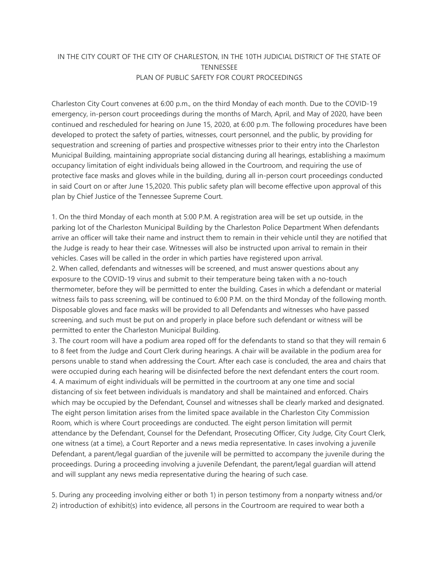## IN THE CITY COURT OF THE CITY OF CHARLESTON, IN THE 10TH JUDICIAL DISTRICT OF THE STATE OF **TENNESSEE** PLAN OF PUBLIC SAFETY FOR COURT PROCEEDINGS

Charleston City Court convenes at 6:00 p.m., on the third Monday of each month. Due to the COVID-19 emergency, in-person court proceedings during the months of March, April, and May of 2020, have been continued and rescheduled for hearing on June 15, 2020, at 6:00 p.m. The following procedures have been developed to protect the safety of parties, witnesses, court personnel, and the public, by providing for sequestration and screening of parties and prospective witnesses prior to their entry into the Charleston Municipal Building, maintaining appropriate social distancing during all hearings, establishing a maximum occupancy limitation of eight individuals being allowed in the Courtroom, and requiring the use of protective face masks and gloves while in the building, during all in-person court proceedings conducted in said Court on or after June 15,2020. This public safety plan will become effective upon approval of this plan by Chief Justice of the Tennessee Supreme Court.

1. On the third Monday of each month at 5:00 P.M. A registration area will be set up outside, in the parking lot of the Charleston Municipal Building by the Charleston Police Department When defendants arrive an officer will take their name and instruct them to remain in their vehicle until they are notified that the Judge is ready to hear their case. Witnesses will also be instructed upon arrival to remain in their vehicles. Cases will be called in the order in which parties have registered upon arrival. 2. When called, defendants and witnesses will be screened, and must answer questions about any exposure to the COVID-19 virus and submit to their temperature being taken with a no-touch thermometer, before they will be permitted to enter the building. Cases in which a defendant or material witness fails to pass screening, will be continued to 6:00 P.M. on the third Monday of the following month. Disposable gloves and face masks will be provided to all Defendants and witnesses who have passed screening, and such must be put on and properly in place before such defendant or witness will be permitted to enter the Charleston Municipal Building.

3. The court room will have a podium area roped off for the defendants to stand so that they will remain 6 to 8 feet from the Judge and Court Clerk during hearings. A chair will be available in the podium area for persons unable to stand when addressing the Court. After each case is concluded, the area and chairs that were occupied during each hearing will be disinfected before the next defendant enters the court room. 4. A maximum of eight individuals will be permitted in the courtroom at any one time and social distancing of six feet between individuals is mandatory and shall be maintained and enforced. Chairs which may be occupied by the Defendant, Counsel and witnesses shall be clearly marked and designated. The eight person limitation arises from the limited space available in the Charleston City Commission Room, which is where Court proceedings are conducted. The eight person limitation will permit attendance by the Defendant, Counsel for the Defendant, Prosecuting Officer, City Judge, City Court Clerk, one witness (at a time), a Court Reporter and a news media representative. In cases involving a juvenile Defendant, a parent/legal guardian of the juvenile will be permitted to accompany the juvenile during the proceedings. During a proceeding involving a juvenile Defendant, the parent/legal guardian will attend and will supplant any news media representative during the hearing of such case.

5. During any proceeding involving either or both 1) in person testimony from a nonparty witness and/or 2) introduction of exhibit(s) into evidence, all persons in the Courtroom are required to wear both a